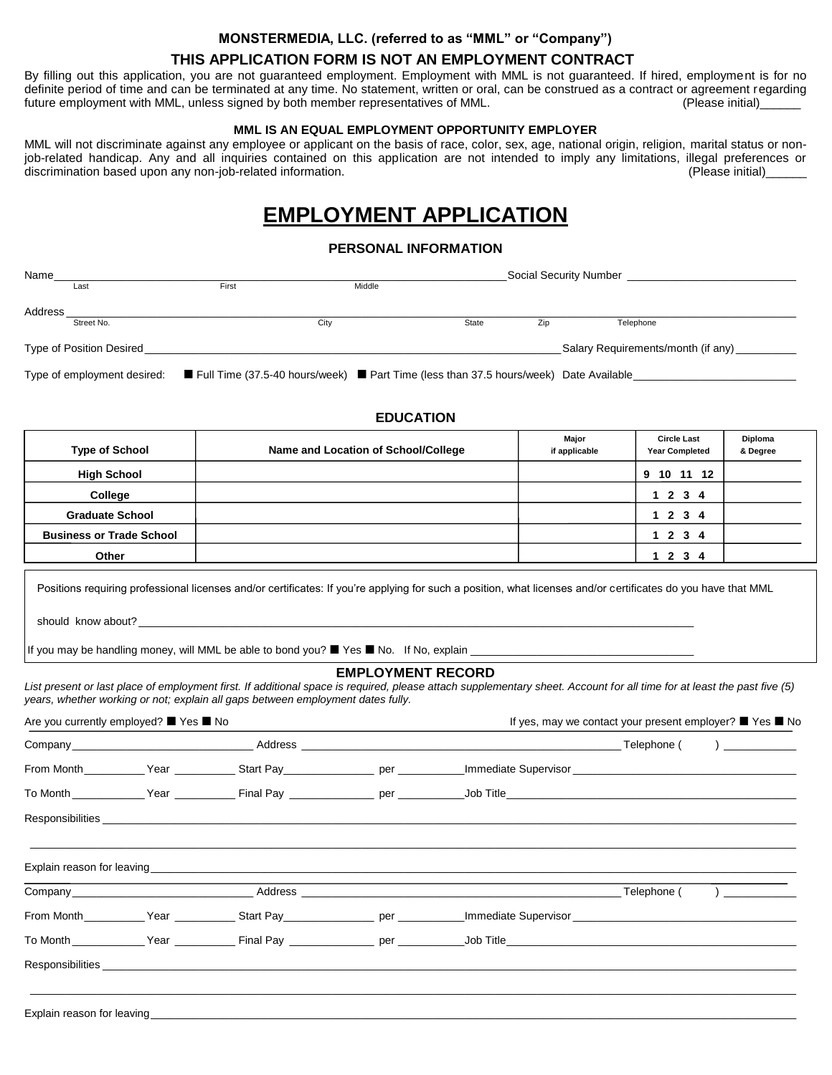#### **MONSTERMEDIA, LLC. (referred to as "MML" or "Company")**

### **THIS APPLICATION FORM IS NOT AN EMPLOYMENT CONTRACT**

By filling out this application, you are not guaranteed employment. Employment with MML is not guaranteed. If hired, employment is for no definite period of time and can be terminated at any time. No statement, written or oral, can be construed as a contract or agreement regarding<br>future employment with MML, unless signed by both member representatives of MM future employment with MML, unless signed by both member representatives of MML.

#### **MML IS AN EQUAL EMPLOYMENT OPPORTUNITY EMPLOYER**

MML will not discriminate against any employee or applicant on the basis of race, color, sex, age, national origin, religion, marital status or nonjob-related handicap. Any and all inquiries contained on this application are not intended to imply any limitations, illegal preferences or discrimination based upon any non-job-related information. (Please initial)

# **EMPLOYMENT APPLICATION**

#### **PERSONAL INFORMATION**

| Name                     |            |       |        |                                    |     | Social Security Number |  |  |
|--------------------------|------------|-------|--------|------------------------------------|-----|------------------------|--|--|
|                          | Last       | First | Middle |                                    |     |                        |  |  |
| Address                  |            |       |        |                                    |     |                        |  |  |
|                          | Street No. |       | City   | State                              | Zip | Telephone              |  |  |
| Type of Position Desired |            |       |        | Salary Requirements/month (if any) |     |                        |  |  |

Type of employment desired: Full Time (37.5-40 hours/week) Part Time (less than 37.5 hours/week) Date Available\_

# **Major Circle Last Diploma Type of School Name and Location of School/College if applicable Year Completed & Degree High School 9 10 11 12 College 1 2 3 4 Graduate School 1 2 3 4 Business or Trade School 1 2 3 4 Other 1 2 3 4**

**EDUCATION**

Positions requiring professional licenses and/or certificates: If you're applying for such a position, what licenses and/or certificates do you have that MML

should know about?

If you may be handling money, will MML be able to bond you?  $\blacksquare$  Yes  $\blacksquare$  No. If No, explain \_

#### **EMPLOYMENT RECORD**

*List present or last place of employment first. If additional space is required, please attach supplementary sheet. Account for all time for at least the past five (5) years, whether working or not; explain all gaps between employment dates fully.*

| Are you currently employed? ■ Yes ■ No |  |  |  |                                                                                                                                                                                                                               | If yes, may we contact your present employer? ■ Yes ■ No |  |  |
|----------------------------------------|--|--|--|-------------------------------------------------------------------------------------------------------------------------------------------------------------------------------------------------------------------------------|----------------------------------------------------------|--|--|
|                                        |  |  |  |                                                                                                                                                                                                                               |                                                          |  |  |
|                                        |  |  |  |                                                                                                                                                                                                                               |                                                          |  |  |
|                                        |  |  |  |                                                                                                                                                                                                                               |                                                          |  |  |
|                                        |  |  |  |                                                                                                                                                                                                                               |                                                          |  |  |
|                                        |  |  |  |                                                                                                                                                                                                                               |                                                          |  |  |
|                                        |  |  |  | Company Telephone ( ) and the Address and Address and Address and Telephone ( ) and Telephone ( ) and Telephone ( ) and Telephone ( ) and Telephone ( ) and Telephone ( ) and Telephone ( ) and Telephone ( ) and Telephone ( |                                                          |  |  |
|                                        |  |  |  |                                                                                                                                                                                                                               |                                                          |  |  |
|                                        |  |  |  |                                                                                                                                                                                                                               |                                                          |  |  |
|                                        |  |  |  |                                                                                                                                                                                                                               |                                                          |  |  |

Explain reason for leaving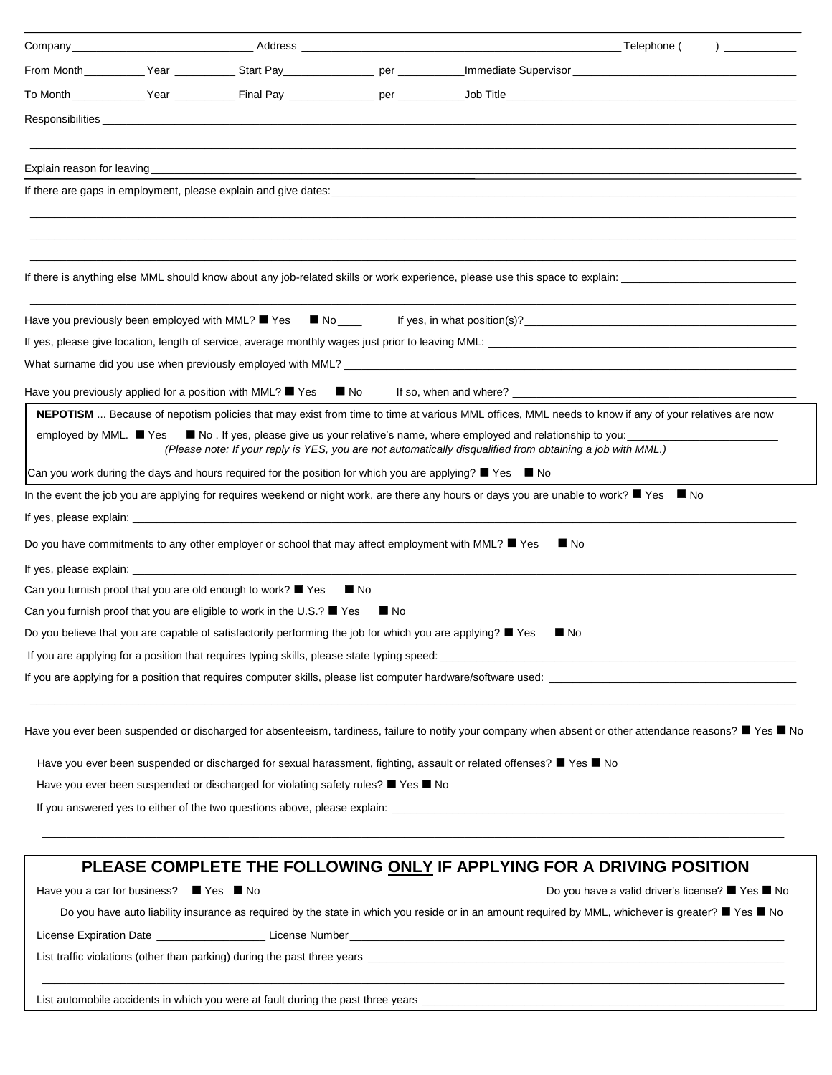|                        |                                         |                                                                                                                                   |                   | If there are gaps in employment, please explain and give dates: example are all the state of the state of the state of the state of the state of the state of the state of the state of the state of the state of the state of |                                                  |  |
|------------------------|-----------------------------------------|-----------------------------------------------------------------------------------------------------------------------------------|-------------------|--------------------------------------------------------------------------------------------------------------------------------------------------------------------------------------------------------------------------------|--------------------------------------------------|--|
|                        |                                         |                                                                                                                                   |                   |                                                                                                                                                                                                                                |                                                  |  |
|                        |                                         |                                                                                                                                   |                   |                                                                                                                                                                                                                                |                                                  |  |
|                        |                                         |                                                                                                                                   |                   |                                                                                                                                                                                                                                |                                                  |  |
|                        |                                         |                                                                                                                                   |                   |                                                                                                                                                                                                                                |                                                  |  |
|                        |                                         | Have you previously been employed with MML? $\blacksquare$ Yes $\blacksquare$ No $\blacksquare$                                   |                   |                                                                                                                                                                                                                                |                                                  |  |
|                        |                                         |                                                                                                                                   |                   |                                                                                                                                                                                                                                |                                                  |  |
|                        |                                         |                                                                                                                                   |                   |                                                                                                                                                                                                                                |                                                  |  |
|                        |                                         | Have you previously applied for a position with MML? $\blacksquare$ Yes $\blacksquare$ No                                         |                   |                                                                                                                                                                                                                                |                                                  |  |
|                        |                                         |                                                                                                                                   |                   | NEPOTISM  Because of nepotism policies that may exist from time to time at various MML offices, MML needs to know if any of your relatives are now                                                                             |                                                  |  |
| employed by MML. ■ Yes |                                         |                                                                                                                                   |                   | No. If yes, please give us your relative's name, where employed and relationship to you:<br>(Please note: If your reply is YES, you are not automatically disqualified from obtaining a job with MML.)                         |                                                  |  |
|                        |                                         | Can you work during the days and hours required for the position for which you are applying? $\blacksquare$ Yes $\blacksquare$ No |                   |                                                                                                                                                                                                                                |                                                  |  |
|                        |                                         |                                                                                                                                   |                   | In the event the job you are applying for requires weekend or night work, are there any hours or days you are unable to work? ■ Yes ■ No                                                                                       |                                                  |  |
|                        |                                         |                                                                                                                                   |                   |                                                                                                                                                                                                                                |                                                  |  |
|                        |                                         | Do you have commitments to any other employer or school that may affect employment with MML? ■ Yes                                |                   | $\blacksquare$ No                                                                                                                                                                                                              |                                                  |  |
|                        |                                         |                                                                                                                                   |                   |                                                                                                                                                                                                                                |                                                  |  |
|                        |                                         | Can you furnish proof that you are old enough to work? $\blacksquare$ Yes                                                         | $\blacksquare$ No |                                                                                                                                                                                                                                |                                                  |  |
|                        |                                         | Can you furnish proof that you are eligible to work in the U.S.? $\blacksquare$ Yes $\blacksquare$ No                             |                   |                                                                                                                                                                                                                                |                                                  |  |
|                        |                                         | Do you believe that you are capable of satisfactorily performing the job for which you are applying? ■ Yes                        |                   | $\blacksquare$ No                                                                                                                                                                                                              |                                                  |  |
|                        |                                         |                                                                                                                                   |                   |                                                                                                                                                                                                                                |                                                  |  |
|                        |                                         |                                                                                                                                   |                   |                                                                                                                                                                                                                                |                                                  |  |
|                        |                                         |                                                                                                                                   |                   | Have you ever been suspended or discharged for absenteeism, tardiness, failure to notify your company when absent or other attendance reasons? ■ Yes ■ No                                                                      |                                                  |  |
|                        |                                         |                                                                                                                                   |                   | Have you ever been suspended or discharged for sexual harassment, fighting, assault or related offenses? ■ Yes ■ No                                                                                                            |                                                  |  |
|                        |                                         | Have you ever been suspended or discharged for violating safety rules? $\blacksquare$ Yes $\blacksquare$ No                       |                   |                                                                                                                                                                                                                                |                                                  |  |
|                        |                                         |                                                                                                                                   |                   |                                                                                                                                                                                                                                |                                                  |  |
|                        |                                         |                                                                                                                                   |                   |                                                                                                                                                                                                                                |                                                  |  |
|                        |                                         |                                                                                                                                   |                   | PLEASE COMPLETE THE FOLLOWING ONLY IF APPLYING FOR A DRIVING POSITION                                                                                                                                                          |                                                  |  |
|                        | Have you a car for business? ■ Yes ■ No |                                                                                                                                   |                   |                                                                                                                                                                                                                                | Do you have a valid driver's license? ■ Yes ■ No |  |

Do you have auto liability insurance as required by the state in which you reside or in an amount required by MML, whichever is greater? ■ Yes ■ No

 $\_$  , and the set of the set of the set of the set of the set of the set of the set of the set of the set of the set of the set of the set of the set of the set of the set of the set of the set of the set of the set of th

License Expiration Date \_\_\_\_\_\_\_\_\_\_\_\_\_\_\_\_\_\_\_\_\_\_\_\_\_\_\_\_\_\_License Number\_

List traffic violations (other than parking) during the past three years \_

List automobile accidents in which you were at fault during the past three years